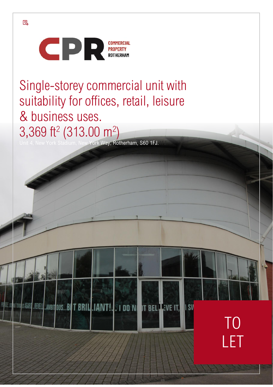

Single-storey commercial unit with suitability for offices, retail, leisure & business uses. 3,369 ft<sup>2</sup> (313.00 m<sup>2</sup>)

TO

II SV

LET

ork Way, Rotherham, S60 1FJ.

**SETOWA IS AGARD ..REVELLY..AMBITOUS...BUT BRILL.IANT!... I DO NUT DT BELLEVE IT,** 

 $\mathbb Z$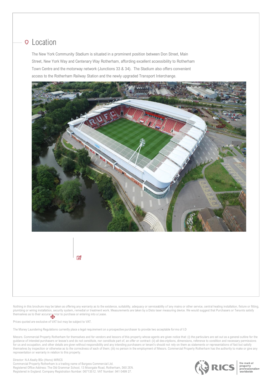### Location

The New York Community Stadium is situated in a prominent position between Don Street, Main Street, New York Way and Centenary Way Rotherham, affording excellent accessibility to Rotherham Town Centre and the motorway network (Junctions 33 & 34). The Stadium also offers convenient access to the Rotherham Railway Station and the newly upgraded Transport Interchange.



Nothing in this brochure may be taken as offering any warranty as to the existence, suitability, adequacy or serviceability of any mains or other service, central heating installation, fixture or fitting, plumbing or wiring installation, security system, remedial or treatment work. Measurements are taken by a Disto laser measuring device. We would suggest that Purchasers or Tenants satisfy themselves as to their accuracy prior to purchase or entering into a Lease.

Prices quoted are exclusive of VAT but may be subject to VAT.

The Money Laundering Regulations currently place a legal requirement on a prospective purchaser to provide two acceptable forms of I.D

Messrs. Commercial Property Rotherham for themselves and for vendors and lessors of this property whose agents are given notice that: (i) the particulars are set out as a general outline for the guidance of intended purchasers or lessee's and do not constitute, nor constitute part of, an offer or contract: (ii) all descriptions, dimensions, reference to condition and necessary permissions for us and occupation, and other details are given without responsibility and any intending purchasers or tenant's should not rely on them as statements or representations of fact but satisfy themselves by inspection or otherwise as to the correctness of each of them; (iii) no person in the employment of Messrs. Commercial Property Rotherham has the authority to make or give any representation or warranty in relation to this property.

Director: N.A.Keally BSc (Hons) MRICS Commercial Property Rotherham is a trading name of Burgess Commercial Ltd. Registered Office Address: The Old Grammar School, 13 Moorgate Road, Rotherham, S60 2EN. Registered in England: Company Registration Number: 06713512. VAT Number: 941 0499 27.



the mark of the mark of<br>property<br>professionalism<br>worldwide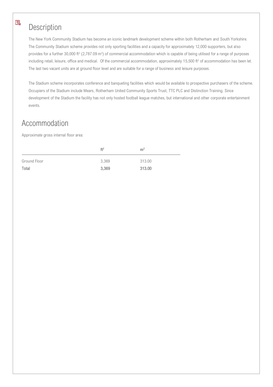# Description

 $\mathbb Z$ 

The New York Community Stadium has become an iconic landmark development scheme within both Rotherham and South Yorkshire. The Community Stadium scheme provides not only sporting facilities and a capacity for approximately 12,000 supporters, but also provides for a further 30,000 ft<sup>2</sup> (2,787.09 m<sup>2</sup>) of commercial accommodation which is capable of being utilised for a range of purposes including retail, leisure, office and medical. Of the commercial accommodation, approximately 15,500 ft<sup>2</sup> of accommodation has been let. The last two vacant units are at ground floor level and are suitable for a range of business and leisure purposes.

The Stadium scheme incorporates conference and banqueting facilities which would be available to prospective purchasers of the scheme. Occupiers of the Stadium include Mears, Rotherham United Community Sports Trust, TTC PLC and Distinction Training. Since development of the Stadium the facility has not only hosted football league matches, but international and other corporate entertainment events.

# Accommodation

Approximate gross internal floor area:

|              | ft <sup>2</sup> | m <sup>2</sup> |
|--------------|-----------------|----------------|
| Ground Floor | 3,369           | 313.00         |
| Total        | 3,369           | 313.00         |